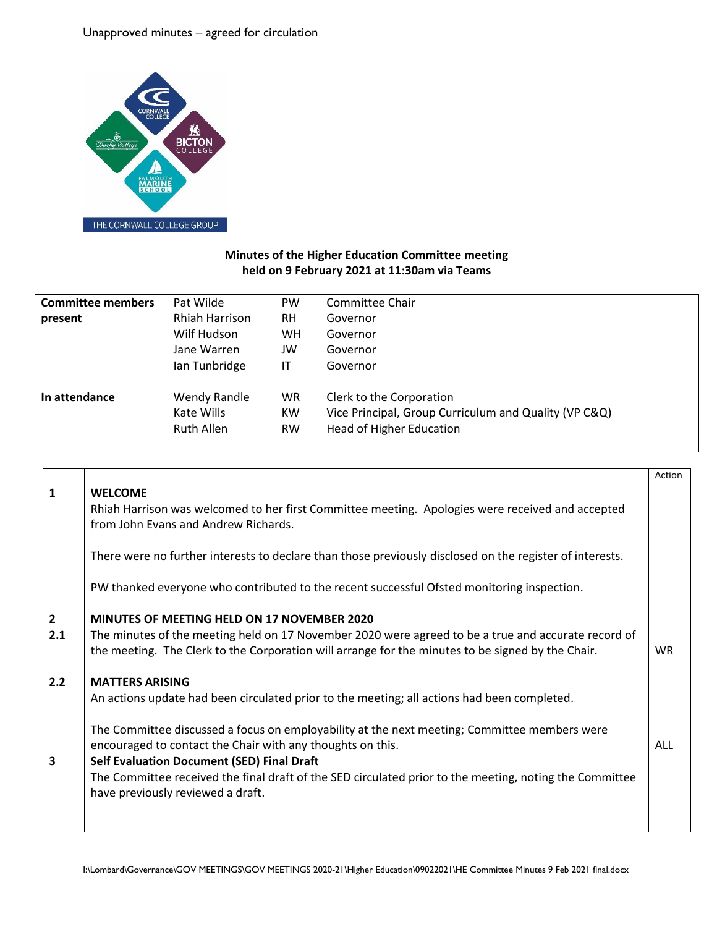## Unapproved minutes – agreed for circulation



## **Minutes of the Higher Education Committee meeting held on 9 February 2021 at 11:30am via Teams**

| Pat Wilde         | <b>PW</b> | Committee Chair                                       |
|-------------------|-----------|-------------------------------------------------------|
| Rhiah Harrison    | <b>RH</b> | Governor                                              |
| Wilf Hudson       | WH.       | Governor                                              |
| Jane Warren       | JW        | Governor                                              |
| Ian Tunbridge     | IT        | Governor                                              |
| Wendy Randle      | <b>WR</b> | Clerk to the Corporation                              |
| Kate Wills        | <b>KW</b> | Vice Principal, Group Curriculum and Quality (VP C&Q) |
| <b>Ruth Allen</b> | <b>RW</b> | Head of Higher Education                              |
|                   |           |                                                       |

|                |                                                                                                                                          | Action    |
|----------------|------------------------------------------------------------------------------------------------------------------------------------------|-----------|
| $\mathbf{1}$   | <b>WELCOME</b>                                                                                                                           |           |
|                | Rhiah Harrison was welcomed to her first Committee meeting. Apologies were received and accepted<br>from John Evans and Andrew Richards. |           |
|                | There were no further interests to declare than those previously disclosed on the register of interests.                                 |           |
|                | PW thanked everyone who contributed to the recent successful Ofsted monitoring inspection.                                               |           |
| $\overline{2}$ | <b>MINUTES OF MEETING HELD ON 17 NOVEMBER 2020</b>                                                                                       |           |
| 2.1            | The minutes of the meeting held on 17 November 2020 were agreed to be a true and accurate record of                                      |           |
|                | the meeting. The Clerk to the Corporation will arrange for the minutes to be signed by the Chair.                                        | <b>WR</b> |
| 2.2            | <b>MATTERS ARISING</b>                                                                                                                   |           |
|                | An actions update had been circulated prior to the meeting; all actions had been completed.                                              |           |
|                | The Committee discussed a focus on employability at the next meeting; Committee members were                                             |           |
|                | encouraged to contact the Chair with any thoughts on this.                                                                               | ALL       |
| 3              | <b>Self Evaluation Document (SED) Final Draft</b>                                                                                        |           |
|                | The Committee received the final draft of the SED circulated prior to the meeting, noting the Committee                                  |           |
|                | have previously reviewed a draft.                                                                                                        |           |
|                |                                                                                                                                          |           |
|                |                                                                                                                                          |           |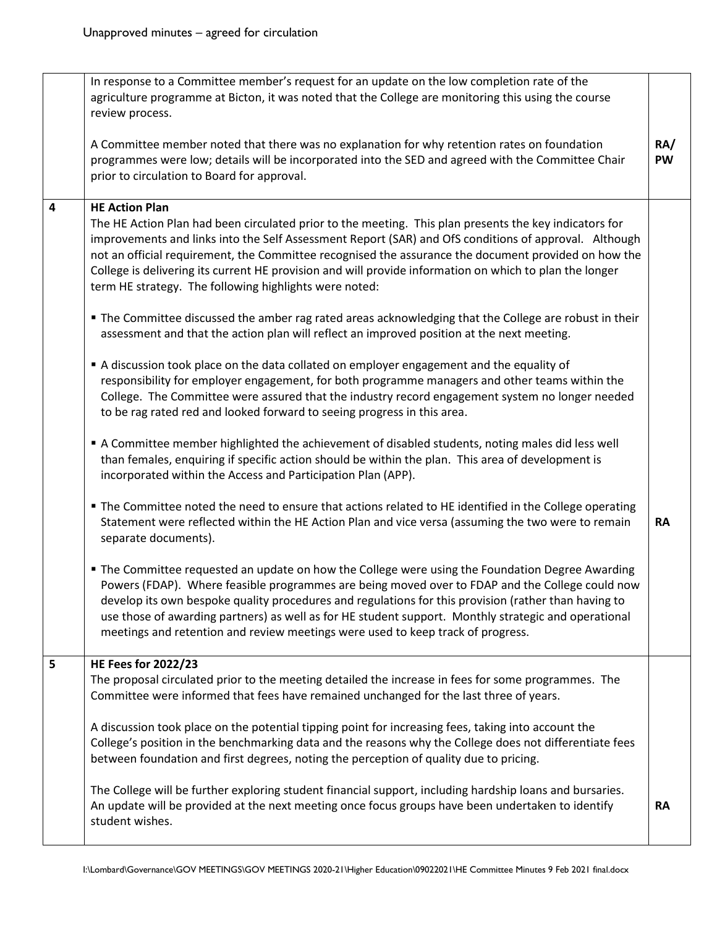|   | In response to a Committee member's request for an update on the low completion rate of the<br>agriculture programme at Bicton, it was noted that the College are monitoring this using the course<br>review process.                                                                                                                                                                                                                                                                                                 |                  |
|---|-----------------------------------------------------------------------------------------------------------------------------------------------------------------------------------------------------------------------------------------------------------------------------------------------------------------------------------------------------------------------------------------------------------------------------------------------------------------------------------------------------------------------|------------------|
|   | A Committee member noted that there was no explanation for why retention rates on foundation<br>programmes were low; details will be incorporated into the SED and agreed with the Committee Chair<br>prior to circulation to Board for approval.                                                                                                                                                                                                                                                                     | RA/<br><b>PW</b> |
| 4 | <b>HE Action Plan</b><br>The HE Action Plan had been circulated prior to the meeting. This plan presents the key indicators for<br>improvements and links into the Self Assessment Report (SAR) and OfS conditions of approval. Although<br>not an official requirement, the Committee recognised the assurance the document provided on how the<br>College is delivering its current HE provision and will provide information on which to plan the longer<br>term HE strategy. The following highlights were noted: |                  |
|   | " The Committee discussed the amber rag rated areas acknowledging that the College are robust in their<br>assessment and that the action plan will reflect an improved position at the next meeting.                                                                                                                                                                                                                                                                                                                  |                  |
|   | A discussion took place on the data collated on employer engagement and the equality of<br>responsibility for employer engagement, for both programme managers and other teams within the<br>College. The Committee were assured that the industry record engagement system no longer needed<br>to be rag rated red and looked forward to seeing progress in this area.                                                                                                                                               |                  |
|   | A Committee member highlighted the achievement of disabled students, noting males did less well<br>than females, enquiring if specific action should be within the plan. This area of development is<br>incorporated within the Access and Participation Plan (APP).                                                                                                                                                                                                                                                  |                  |
|   | The Committee noted the need to ensure that actions related to HE identified in the College operating<br>Statement were reflected within the HE Action Plan and vice versa (assuming the two were to remain<br>separate documents).                                                                                                                                                                                                                                                                                   | <b>RA</b>        |
|   | " The Committee requested an update on how the College were using the Foundation Degree Awarding<br>Powers (FDAP). Where feasible programmes are being moved over to FDAP and the College could now<br>develop its own bespoke quality procedures and regulations for this provision (rather than having to<br>use those of awarding partners) as well as for HE student support. Monthly strategic and operational<br>meetings and retention and review meetings were used to keep track of progress.                |                  |
| 5 | <b>HE Fees for 2022/23</b><br>The proposal circulated prior to the meeting detailed the increase in fees for some programmes. The                                                                                                                                                                                                                                                                                                                                                                                     |                  |
|   | Committee were informed that fees have remained unchanged for the last three of years.                                                                                                                                                                                                                                                                                                                                                                                                                                |                  |
|   | A discussion took place on the potential tipping point for increasing fees, taking into account the<br>College's position in the benchmarking data and the reasons why the College does not differentiate fees<br>between foundation and first degrees, noting the perception of quality due to pricing.                                                                                                                                                                                                              |                  |
|   | The College will be further exploring student financial support, including hardship loans and bursaries.<br>An update will be provided at the next meeting once focus groups have been undertaken to identify<br>student wishes.                                                                                                                                                                                                                                                                                      | <b>RA</b>        |
|   |                                                                                                                                                                                                                                                                                                                                                                                                                                                                                                                       |                  |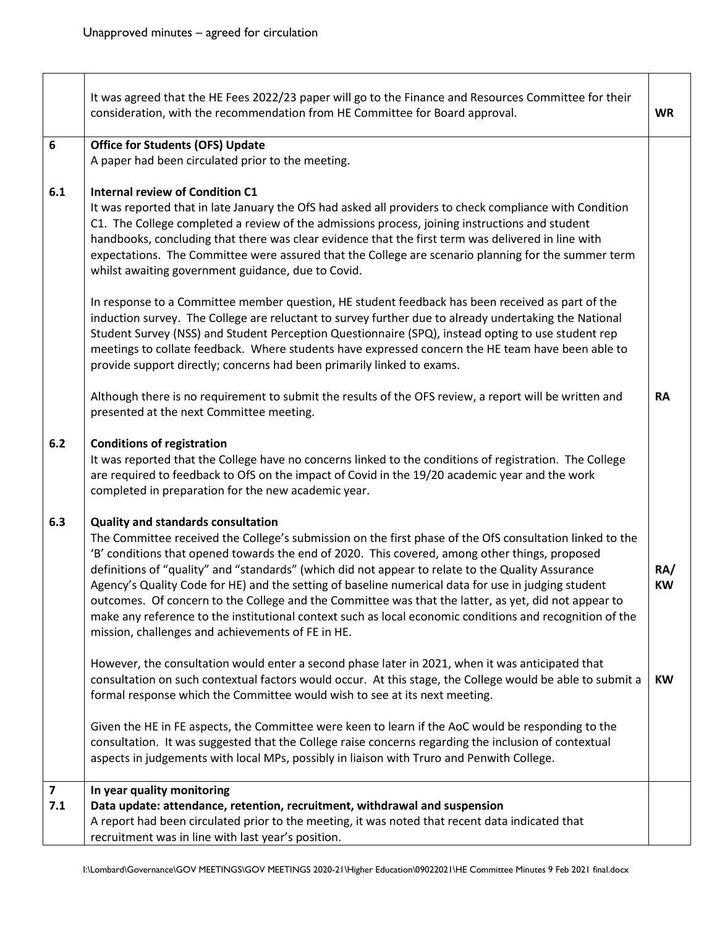Г

┯

|                                | It was agreed that the HE Fees 2022/23 paper will go to the Finance and Resources Committee for their<br>consideration, with the recommendation from HE Committee for Board approval.                                                                                                                                                                                                                                                                                                                                                                                                                                                                                                                                                        | <b>WR</b>        |
|--------------------------------|----------------------------------------------------------------------------------------------------------------------------------------------------------------------------------------------------------------------------------------------------------------------------------------------------------------------------------------------------------------------------------------------------------------------------------------------------------------------------------------------------------------------------------------------------------------------------------------------------------------------------------------------------------------------------------------------------------------------------------------------|------------------|
| 6                              | <b>Office for Students (OFS) Update</b>                                                                                                                                                                                                                                                                                                                                                                                                                                                                                                                                                                                                                                                                                                      |                  |
|                                | A paper had been circulated prior to the meeting.                                                                                                                                                                                                                                                                                                                                                                                                                                                                                                                                                                                                                                                                                            |                  |
| 6.1                            | <b>Internal review of Condition C1</b><br>It was reported that in late January the OfS had asked all providers to check compliance with Condition<br>C1. The College completed a review of the admissions process, joining instructions and student<br>handbooks, concluding that there was clear evidence that the first term was delivered in line with<br>expectations. The Committee were assured that the College are scenario planning for the summer term<br>whilst awaiting government guidance, due to Covid.                                                                                                                                                                                                                       |                  |
|                                | In response to a Committee member question, HE student feedback has been received as part of the<br>induction survey. The College are reluctant to survey further due to already undertaking the National<br>Student Survey (NSS) and Student Perception Questionnaire (SPQ), instead opting to use student rep<br>meetings to collate feedback. Where students have expressed concern the HE team have been able to<br>provide support directly; concerns had been primarily linked to exams.                                                                                                                                                                                                                                               |                  |
|                                | Although there is no requirement to submit the results of the OFS review, a report will be written and<br>presented at the next Committee meeting.                                                                                                                                                                                                                                                                                                                                                                                                                                                                                                                                                                                           | <b>RA</b>        |
| 6.2                            | <b>Conditions of registration</b><br>It was reported that the College have no concerns linked to the conditions of registration. The College<br>are required to feedback to OfS on the impact of Covid in the 19/20 academic year and the work<br>completed in preparation for the new academic year.                                                                                                                                                                                                                                                                                                                                                                                                                                        |                  |
| 6.3                            | <b>Quality and standards consultation</b><br>The Committee received the College's submission on the first phase of the OfS consultation linked to the<br>'B' conditions that opened towards the end of 2020. This covered, among other things, proposed<br>definitions of "quality" and "standards" (which did not appear to relate to the Quality Assurance<br>Agency's Quality Code for HE) and the setting of baseline numerical data for use in judging student<br>outcomes. Of concern to the College and the Committee was that the latter, as yet, did not appear to<br>make any reference to the institutional context such as local economic conditions and recognition of the<br>mission, challenges and achievements of FE in HE. | RA/<br><b>KW</b> |
|                                | However, the consultation would enter a second phase later in 2021, when it was anticipated that<br>consultation on such contextual factors would occur. At this stage, the College would be able to submit a<br>formal response which the Committee would wish to see at its next meeting.                                                                                                                                                                                                                                                                                                                                                                                                                                                  | <b>KW</b>        |
|                                | Given the HE in FE aspects, the Committee were keen to learn if the AoC would be responding to the<br>consultation. It was suggested that the College raise concerns regarding the inclusion of contextual<br>aspects in judgements with local MPs, possibly in liaison with Truro and Penwith College.                                                                                                                                                                                                                                                                                                                                                                                                                                      |                  |
| $\overline{\mathbf{z}}$<br>7.1 | In year quality monitoring<br>Data update: attendance, retention, recruitment, withdrawal and suspension<br>A report had been circulated prior to the meeting, it was noted that recent data indicated that<br>recruitment was in line with last year's position.                                                                                                                                                                                                                                                                                                                                                                                                                                                                            |                  |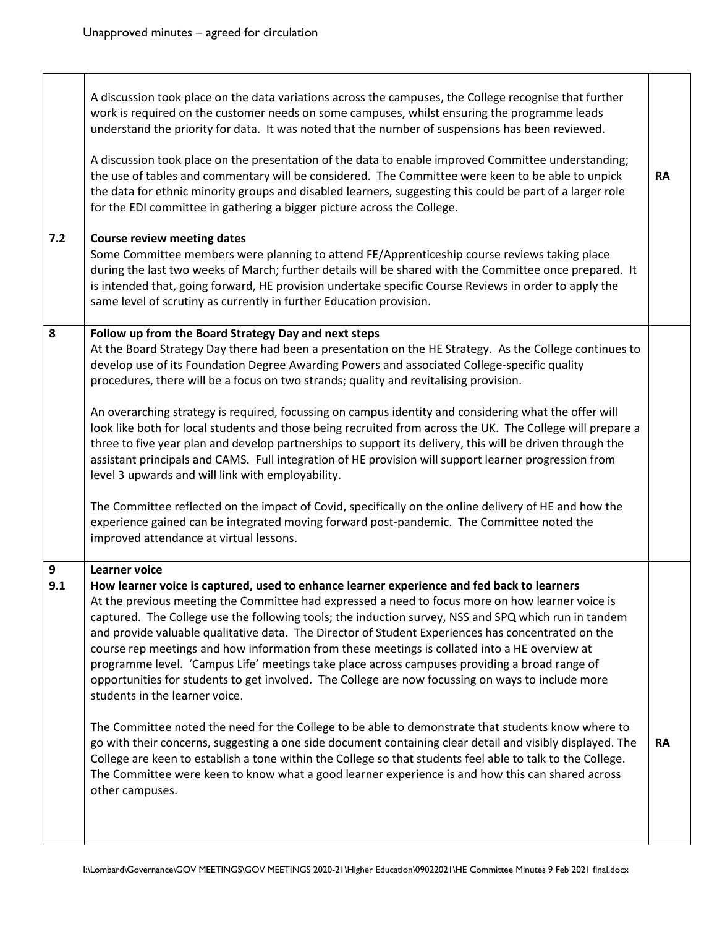$\Gamma$ 

T

| 7.2      | A discussion took place on the data variations across the campuses, the College recognise that further<br>work is required on the customer needs on some campuses, whilst ensuring the programme leads<br>understand the priority for data. It was noted that the number of suspensions has been reviewed.<br>A discussion took place on the presentation of the data to enable improved Committee understanding;<br>the use of tables and commentary will be considered. The Committee were keen to be able to unpick<br>the data for ethnic minority groups and disabled learners, suggesting this could be part of a larger role<br>for the EDI committee in gathering a bigger picture across the College.<br><b>Course review meeting dates</b><br>Some Committee members were planning to attend FE/Apprenticeship course reviews taking place<br>during the last two weeks of March; further details will be shared with the Committee once prepared. It<br>is intended that, going forward, HE provision undertake specific Course Reviews in order to apply the<br>same level of scrutiny as currently in further Education provision.                                                                                       | <b>RA</b> |
|----------|---------------------------------------------------------------------------------------------------------------------------------------------------------------------------------------------------------------------------------------------------------------------------------------------------------------------------------------------------------------------------------------------------------------------------------------------------------------------------------------------------------------------------------------------------------------------------------------------------------------------------------------------------------------------------------------------------------------------------------------------------------------------------------------------------------------------------------------------------------------------------------------------------------------------------------------------------------------------------------------------------------------------------------------------------------------------------------------------------------------------------------------------------------------------------------------------------------------------------------------|-----------|
| 8        | Follow up from the Board Strategy Day and next steps<br>At the Board Strategy Day there had been a presentation on the HE Strategy. As the College continues to<br>develop use of its Foundation Degree Awarding Powers and associated College-specific quality<br>procedures, there will be a focus on two strands; quality and revitalising provision.<br>An overarching strategy is required, focussing on campus identity and considering what the offer will<br>look like both for local students and those being recruited from across the UK. The College will prepare a<br>three to five year plan and develop partnerships to support its delivery, this will be driven through the<br>assistant principals and CAMS. Full integration of HE provision will support learner progression from<br>level 3 upwards and will link with employability.<br>The Committee reflected on the impact of Covid, specifically on the online delivery of HE and how the<br>experience gained can be integrated moving forward post-pandemic. The Committee noted the<br>improved attendance at virtual lessons.                                                                                                                           |           |
| 9<br>9.1 | <b>Learner voice</b><br>How learner voice is captured, used to enhance learner experience and fed back to learners<br>At the previous meeting the Committee had expressed a need to focus more on how learner voice is<br>captured. The College use the following tools; the induction survey, NSS and SPQ which run in tandem<br>and provide valuable qualitative data. The Director of Student Experiences has concentrated on the<br>course rep meetings and how information from these meetings is collated into a HE overview at<br>programme level. 'Campus Life' meetings take place across campuses providing a broad range of<br>opportunities for students to get involved. The College are now focussing on ways to include more<br>students in the learner voice.<br>The Committee noted the need for the College to be able to demonstrate that students know where to<br>go with their concerns, suggesting a one side document containing clear detail and visibly displayed. The<br>College are keen to establish a tone within the College so that students feel able to talk to the College.<br>The Committee were keen to know what a good learner experience is and how this can shared across<br>other campuses. | RA        |